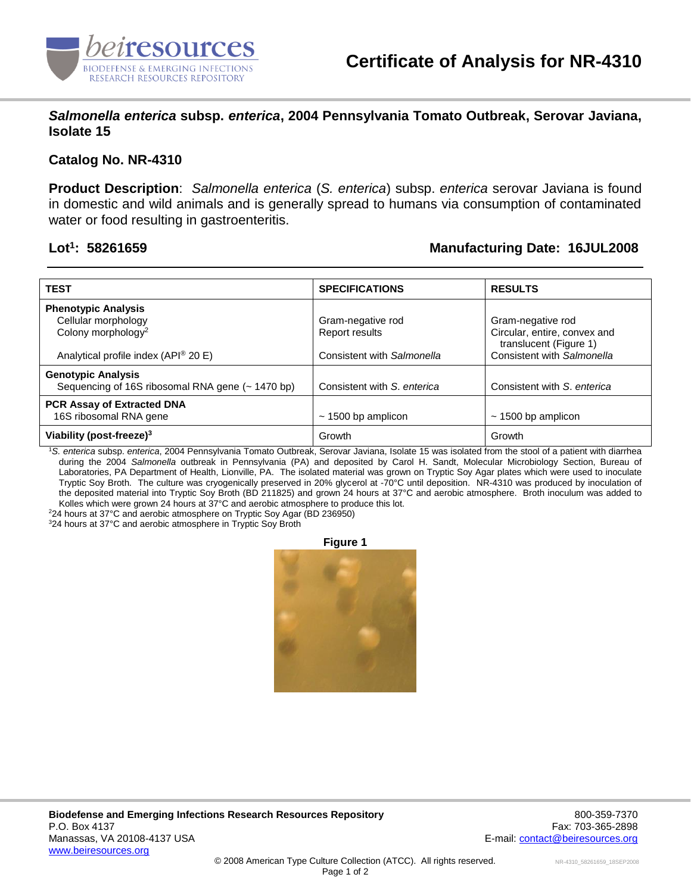

*Salmonella enterica* **subsp.** *enterica***, 2004 Pennsylvania Tomato Outbreak, Serovar Javiana, Isolate 15**

## **Catalog No. NR-4310**

**Product Description**: *Salmonella enterica* (*S. enterica*) subsp. *enterica* serovar Javiana is found in domestic and wild animals and is generally spread to humans via consumption of contaminated water or food resulting in gastroenteritis.

## Lot<sup>1</sup>: 58261659

## **: 58261659 Manufacturing Date: 16JUL2008**

| <b>TEST</b>                                                                                                                             | <b>SPECIFICATIONS</b>                                             | <b>RESULTS</b>                                                                                            |
|-----------------------------------------------------------------------------------------------------------------------------------------|-------------------------------------------------------------------|-----------------------------------------------------------------------------------------------------------|
| <b>Phenotypic Analysis</b><br>Cellular morphology<br>Colony morphology <sup>2</sup><br>Analytical profile index (API <sup>®</sup> 20 E) | Gram-negative rod<br>Report results<br>Consistent with Salmonella | Gram-negative rod<br>Circular, entire, convex and<br>translucent (Figure 1)<br>Consistent with Salmonella |
| <b>Genotypic Analysis</b><br>Sequencing of 16S ribosomal RNA gene (~ 1470 bp)                                                           | Consistent with S. enterica                                       | Consistent with S. enterica                                                                               |
| <b>PCR Assay of Extracted DNA</b><br>16S ribosomal RNA gene                                                                             | $\sim$ 1500 bp amplicon                                           | $\sim$ 1500 bp amplicon                                                                                   |
| Viability (post-freeze) <sup>3</sup>                                                                                                    | Growth                                                            | Growth                                                                                                    |

<sup>1</sup>*S. enterica* subsp. *enterica*, 2004 Pennsylvania Tomato Outbreak, Serovar Javiana, Isolate 15 was isolated from the stool of a patient with diarrhea during the 2004 *Salmonella* outbreak in Pennsylvania (PA) and deposited by Carol H. Sandt, Molecular Microbiology Section, Bureau of Laboratories, PA Department of Health, Lionville, PA. The isolated material was grown on Tryptic Soy Agar plates which were used to inoculate Tryptic Soy Broth. The culture was cryogenically preserved in 20% glycerol at -70°C until deposition. NR-4310 was produced by inoculation of the deposited material into Tryptic Soy Broth (BD 211825) and grown 24 hours at 37°C and aerobic atmosphere. Broth inoculum was added to Kolles which were grown 24 hours at 37°C and aerobic atmosphere to produce this lot.

<sup>2</sup>24 hours at 37°C and aerobic atmosphere on Tryptic Soy Agar (BD 236950)

<sup>3</sup>24 hours at 37°C and aerobic atmosphere in Tryptic Soy Broth